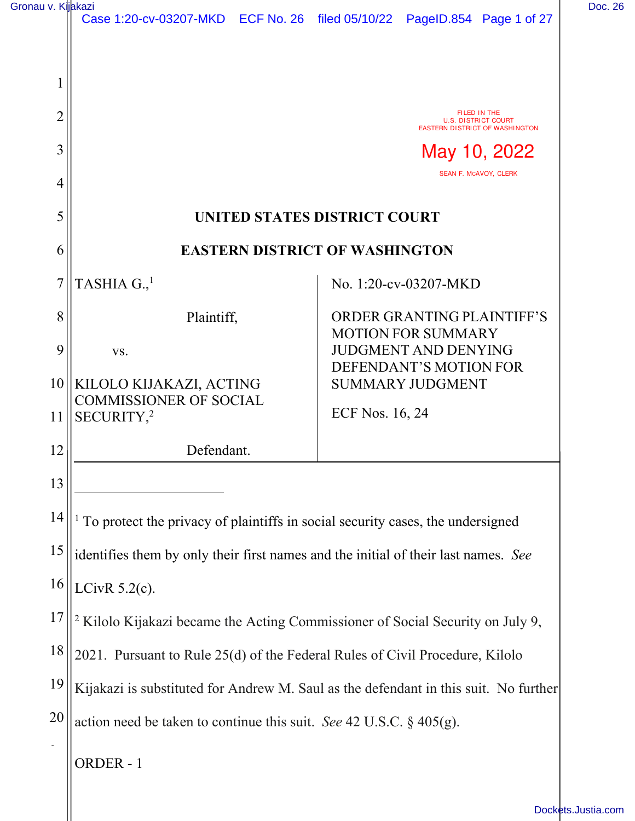| Gronau v. Kijakazi |  |  |
|--------------------|--|--|
|--------------------|--|--|

| Gronau v. Kijakazi |                                                                                           | Case 1:20-cv-03207-MKD ECF No. 26 filed 05/10/22 PageID.854 Page 1 of 27             | Doc. 26 |
|--------------------|-------------------------------------------------------------------------------------------|--------------------------------------------------------------------------------------|---------|
|                    |                                                                                           |                                                                                      |         |
|                    |                                                                                           |                                                                                      |         |
| $\overline{2}$     |                                                                                           | FILED IN THE<br><b>U.S. DISTRICT COURT</b><br><b>EASTERN DISTRICT OF WASHINGTON</b>  |         |
| 3                  |                                                                                           | May 10, 2022                                                                         |         |
| 4                  |                                                                                           | SEAN F. MCAVOY, CLERK                                                                |         |
| 5                  |                                                                                           | UNITED STATES DISTRICT COURT                                                         |         |
| 6                  | <b>EASTERN DISTRICT OF WASHINGTON</b>                                                     |                                                                                      |         |
|                    | TASHIA $G.1$                                                                              | No. 1:20-cv-03207-MKD                                                                |         |
| 8                  | Plaintiff,                                                                                | ORDER GRANTING PLAINTIFF'S<br><b>MOTION FOR SUMMARY</b>                              |         |
| 9                  | VS.                                                                                       | <b>JUDGMENT AND DENYING</b>                                                          |         |
|                    | 10    KILOLO KIJAKAZI, ACTING                                                             | DEFENDANT'S MOTION FOR<br><b>SUMMARY JUDGMENT</b>                                    |         |
| 11                 | <b>COMMISSIONER OF SOCIAL</b><br>SECURITY, <sup>2</sup>                                   | ECF Nos. 16, 24                                                                      |         |
| 12                 | Defendant.                                                                                |                                                                                      |         |
| 13                 |                                                                                           |                                                                                      |         |
| 14                 | To protect the privacy of plaintiffs in social security cases, the undersigned            |                                                                                      |         |
| 15                 | identifies them by only their first names and the initial of their last names. See        |                                                                                      |         |
| 16                 | LCivR $5.2(c)$ .                                                                          |                                                                                      |         |
| 17                 | <sup>2</sup> Kilolo Kijakazi became the Acting Commissioner of Social Security on July 9, |                                                                                      |         |
| 18                 | 2021. Pursuant to Rule 25(d) of the Federal Rules of Civil Procedure, Kilolo              |                                                                                      |         |
| 19                 |                                                                                           | Kijakazi is substituted for Andrew M. Saul as the defendant in this suit. No further |         |
| 20                 | action need be taken to continue this suit. See 42 U.S.C. $\S$ 405(g).                    |                                                                                      |         |
| $\overline{a}$     | ORDER-1                                                                                   |                                                                                      |         |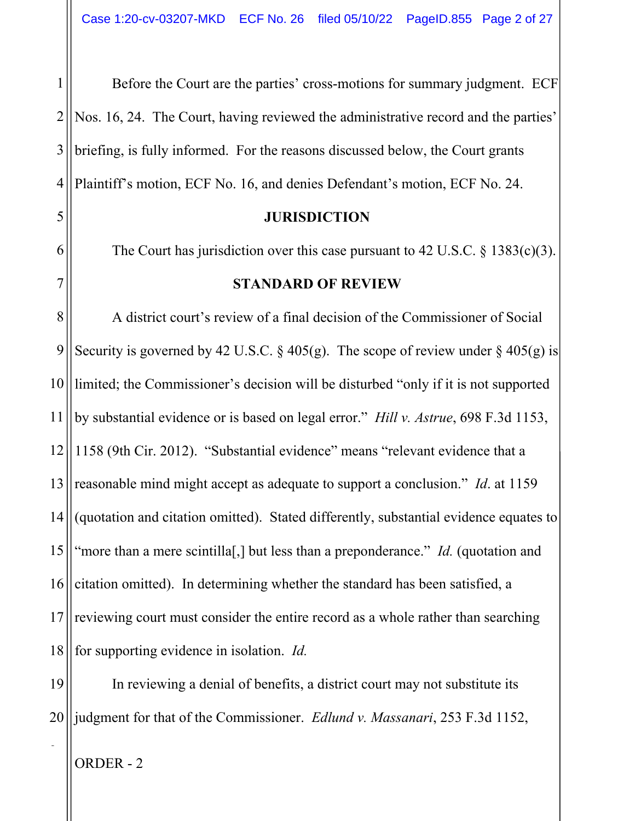1 2 3 4 Before the Court are the parties' cross-motions for summary judgment. ECF Nos. 16, 24. The Court, having reviewed the administrative record and the parties' briefing, is fully informed. For the reasons discussed below, the Court grants Plaintiff's motion, ECF No. 16, and denies Defendant's motion, ECF No. 24.

#### **JURISDICTION**

The Court has jurisdiction over this case pursuant to 42 U.S.C.  $\S$  1383(c)(3).

#### **STANDARD OF REVIEW**

8 9 10 11 12 13 14 15 16 17 18 A district court's review of a final decision of the Commissioner of Social Security is governed by 42 U.S.C. § 405(g). The scope of review under § 405(g) is limited; the Commissioner's decision will be disturbed "only if it is not supported by substantial evidence or is based on legal error." *Hill v. Astrue*, 698 F.3d 1153, 1158 (9th Cir. 2012). "Substantial evidence" means "relevant evidence that a reasonable mind might accept as adequate to support a conclusion." *Id*. at 1159 (quotation and citation omitted). Stated differently, substantial evidence equates to "more than a mere scintilla[,] but less than a preponderance." *Id.* (quotation and citation omitted). In determining whether the standard has been satisfied, a reviewing court must consider the entire record as a whole rather than searching for supporting evidence in isolation. *Id.*

19 20 In reviewing a denial of benefits, a district court may not substitute its judgment for that of the Commissioner. *Edlund v. Massanari*, 253 F.3d 1152,

ORDER - 2

2

5

6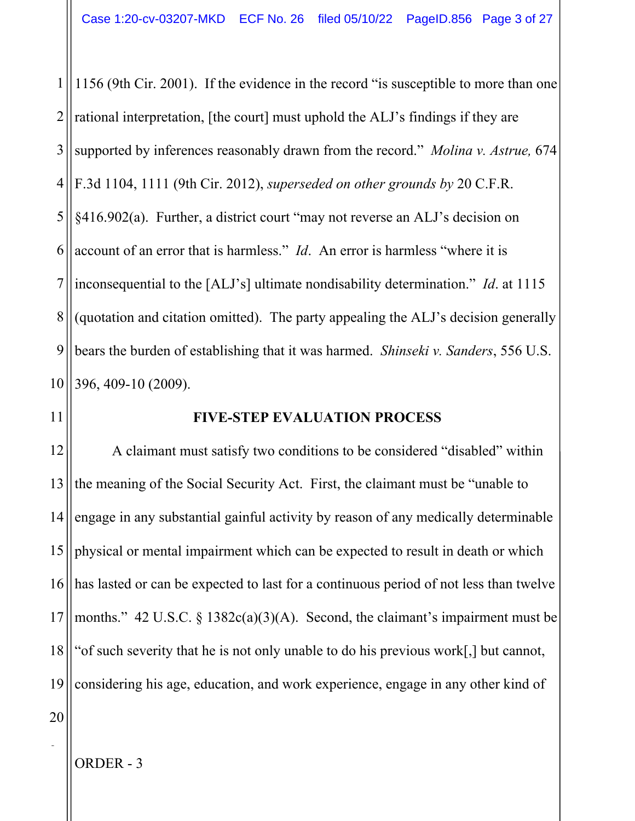1 2 3 4 5 6 7 8 9 10 1156 (9th Cir. 2001). If the evidence in the record "is susceptible to more than one rational interpretation, [the court] must uphold the ALJ's findings if they are supported by inferences reasonably drawn from the record." *Molina v. Astrue,* 674 F.3d 1104, 1111 (9th Cir. 2012), *superseded on other grounds by* 20 C.F.R. §416.902(a). Further, a district court "may not reverse an ALJ's decision on account of an error that is harmless." *Id*. An error is harmless "where it is inconsequential to the [ALJ's] ultimate nondisability determination." *Id*. at 1115 (quotation and citation omitted). The party appealing the ALJ's decision generally bears the burden of establishing that it was harmed. *Shinseki v. Sanders*, 556 U.S. 396, 409-10 (2009).

11

#### **FIVE-STEP EVALUATION PROCESS**

12 13 14 15 16 17 18 19 A claimant must satisfy two conditions to be considered "disabled" within the meaning of the Social Security Act. First, the claimant must be "unable to engage in any substantial gainful activity by reason of any medically determinable physical or mental impairment which can be expected to result in death or which has lasted or can be expected to last for a continuous period of not less than twelve months." 42 U.S.C. § 1382 $c(a)(3)(A)$ . Second, the claimant's impairment must be "of such severity that he is not only unable to do his previous work[,] but cannot, considering his age, education, and work experience, engage in any other kind of

20

2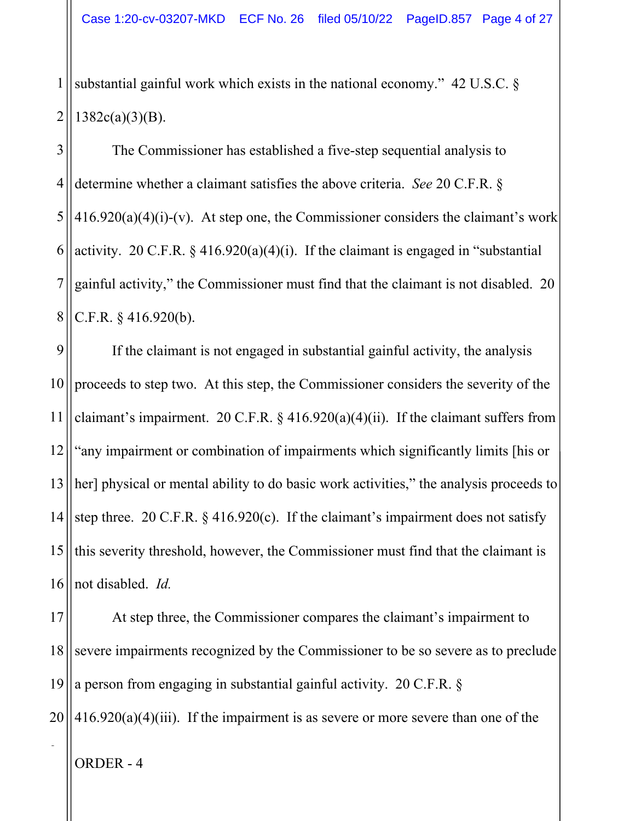1 2 substantial gainful work which exists in the national economy." 42 U.S.C. §  $1382c(a)(3)(B)$ .

3 4 5 6 7 8 The Commissioner has established a five-step sequential analysis to determine whether a claimant satisfies the above criteria. *See* 20 C.F.R. §  $416.920(a)(4)(i)-(v)$ . At step one, the Commissioner considers the claimant's work activity. 20 C.F.R.  $\S$  416.920(a)(4)(i). If the claimant is engaged in "substantial gainful activity," the Commissioner must find that the claimant is not disabled. 20 C.F.R. § 416.920(b).

9 10 11 12 13 14 15 16 If the claimant is not engaged in substantial gainful activity, the analysis proceeds to step two. At this step, the Commissioner considers the severity of the claimant's impairment. 20 C.F.R.  $\S$  416.920(a)(4)(ii). If the claimant suffers from "any impairment or combination of impairments which significantly limits [his or her] physical or mental ability to do basic work activities," the analysis proceeds to step three. 20 C.F.R. § 416.920(c). If the claimant's impairment does not satisfy this severity threshold, however, the Commissioner must find that the claimant is not disabled. *Id.* 

17 18 19 20 At step three, the Commissioner compares the claimant's impairment to severe impairments recognized by the Commissioner to be so severe as to preclude a person from engaging in substantial gainful activity. 20 C.F.R. §  $416.920(a)(4)(iii)$ . If the impairment is as severe or more severe than one of the

ORDER - 4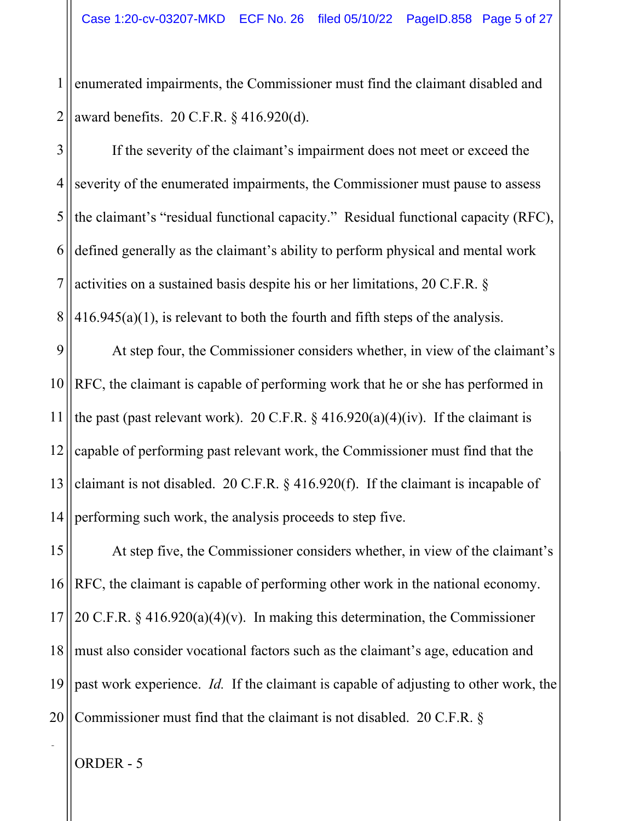1 2 enumerated impairments, the Commissioner must find the claimant disabled and award benefits. 20 C.F.R. § 416.920(d).

3 4 5 6 7 8 If the severity of the claimant's impairment does not meet or exceed the severity of the enumerated impairments, the Commissioner must pause to assess the claimant's "residual functional capacity." Residual functional capacity (RFC), defined generally as the claimant's ability to perform physical and mental work activities on a sustained basis despite his or her limitations, 20 C.F.R. §  $416.945(a)(1)$ , is relevant to both the fourth and fifth steps of the analysis.

9 10 11 12 13 14 At step four, the Commissioner considers whether, in view of the claimant's RFC, the claimant is capable of performing work that he or she has performed in the past (past relevant work). 20 C.F.R.  $\S$  416.920(a)(4)(iv). If the claimant is capable of performing past relevant work, the Commissioner must find that the claimant is not disabled. 20 C.F.R. § 416.920(f). If the claimant is incapable of performing such work, the analysis proceeds to step five.

15 16 17 18 19 20 At step five, the Commissioner considers whether, in view of the claimant's RFC, the claimant is capable of performing other work in the national economy. 20 C.F.R. § 416.920(a)(4)(v). In making this determination, the Commissioner must also consider vocational factors such as the claimant's age, education and past work experience. *Id.* If the claimant is capable of adjusting to other work, the Commissioner must find that the claimant is not disabled. 20 C.F.R. §

ORDER - 5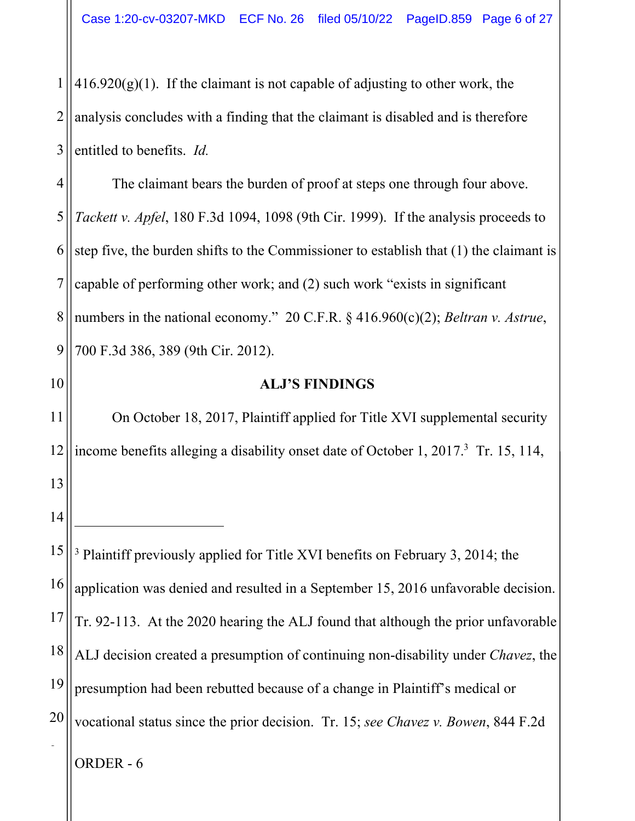1 2 3  $416.920(g)(1)$ . If the claimant is not capable of adjusting to other work, the analysis concludes with a finding that the claimant is disabled and is therefore entitled to benefits. *Id.*

4 5 6 7 8 9 The claimant bears the burden of proof at steps one through four above. *Tackett v. Apfel*, 180 F.3d 1094, 1098 (9th Cir. 1999). If the analysis proceeds to step five, the burden shifts to the Commissioner to establish that (1) the claimant is capable of performing other work; and (2) such work "exists in significant numbers in the national economy." 20 C.F.R. § 416.960(c)(2); *Beltran v. Astrue*, 700 F.3d 386, 389 (9th Cir. 2012).

10

13

14

### **ALJ'S FINDINGS**

11 12 On October 18, 2017, Plaintiff applied for Title XVI supplemental security income benefits alleging a disability onset date of October 1, 2017.<sup>3</sup> Tr. 15, 114,

15 16 17 18 19 20 2 <sup>3</sup> Plaintiff previously applied for Title XVI benefits on February 3, 2014; the application was denied and resulted in a September 15, 2016 unfavorable decision. Tr. 92-113. At the 2020 hearing the ALJ found that although the prior unfavorable ALJ decision created a presumption of continuing non-disability under *Chavez*, the presumption had been rebutted because of a change in Plaintiff's medical or vocational status since the prior decision. Tr. 15; *see Chavez v. Bowen*, 844 F.2d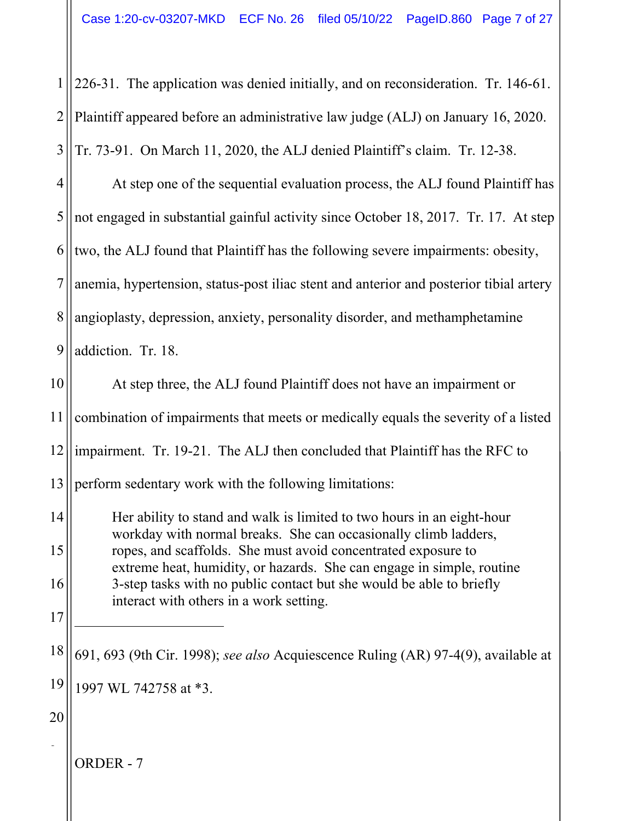1 2 3 226-31. The application was denied initially, and on reconsideration. Tr. 146-61. Plaintiff appeared before an administrative law judge (ALJ) on January 16, 2020. Tr. 73-91. On March 11, 2020, the ALJ denied Plaintiff's claim. Tr. 12-38.

4 5 6 7 8 9 At step one of the sequential evaluation process, the ALJ found Plaintiff has not engaged in substantial gainful activity since October 18, 2017. Tr. 17. At step two, the ALJ found that Plaintiff has the following severe impairments: obesity, anemia, hypertension, status-post iliac stent and anterior and posterior tibial artery angioplasty, depression, anxiety, personality disorder, and methamphetamine addiction. Tr. 18.

ORDER - 7 10 11 12 13 14 15 16 17 18 19 20 2 At step three, the ALJ found Plaintiff does not have an impairment or combination of impairments that meets or medically equals the severity of a listed impairment. Tr. 19-21. The ALJ then concluded that Plaintiff has the RFC to perform sedentary work with the following limitations: Her ability to stand and walk is limited to two hours in an eight-hour workday with normal breaks. She can occasionally climb ladders, ropes, and scaffolds. She must avoid concentrated exposure to extreme heat, humidity, or hazards. She can engage in simple, routine 3-step tasks with no public contact but she would be able to briefly interact with others in a work setting. 691, 693 (9th Cir. 1998); *see also* Acquiescence Ruling (AR) 97-4(9), available at 1997 WL 742758 at \*3.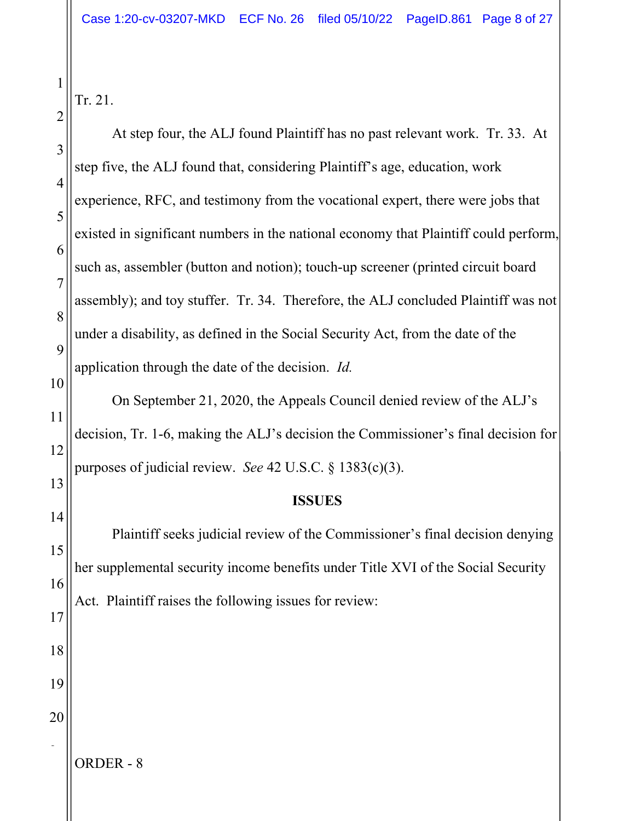Tr. 21.

| $\overline{2}$ |                                                                                      |
|----------------|--------------------------------------------------------------------------------------|
| 3              | At step four, the ALJ found Plaintiff has no past relevant work. Tr. 33. At          |
| $\overline{4}$ | step five, the ALJ found that, considering Plaintiff's age, education, work          |
| 5              | experience, RFC, and testimony from the vocational expert, there were jobs that      |
| 6              | existed in significant numbers in the national economy that Plaintiff could perform, |
| $\overline{7}$ | such as, assembler (button and notion); touch-up screener (printed circuit board     |
| 8              | assembly); and toy stuffer. Tr. 34. Therefore, the ALJ concluded Plaintiff was not   |
| 9              | under a disability, as defined in the Social Security Act, from the date of the      |
| 10             | application through the date of the decision. Id.                                    |
| 11             | On September 21, 2020, the Appeals Council denied review of the ALJ's                |
| 12             | decision, Tr. 1-6, making the ALJ's decision the Commissioner's final decision for   |
| 13             | purposes of judicial review. See 42 U.S.C. § $1383(c)(3)$ .                          |
| 14             | <b>ISSUES</b>                                                                        |
| 15             | Plaintiff seeks judicial review of the Commissioner's final decision denying         |
| 16             | her supplemental security income benefits under Title XVI of the Social Security     |
| 17             | Act. Plaintiff raises the following issues for review:                               |
| 18             |                                                                                      |
| 19             |                                                                                      |
| 20             |                                                                                      |
|                |                                                                                      |
|                | ORDER-8                                                                              |
|                |                                                                                      |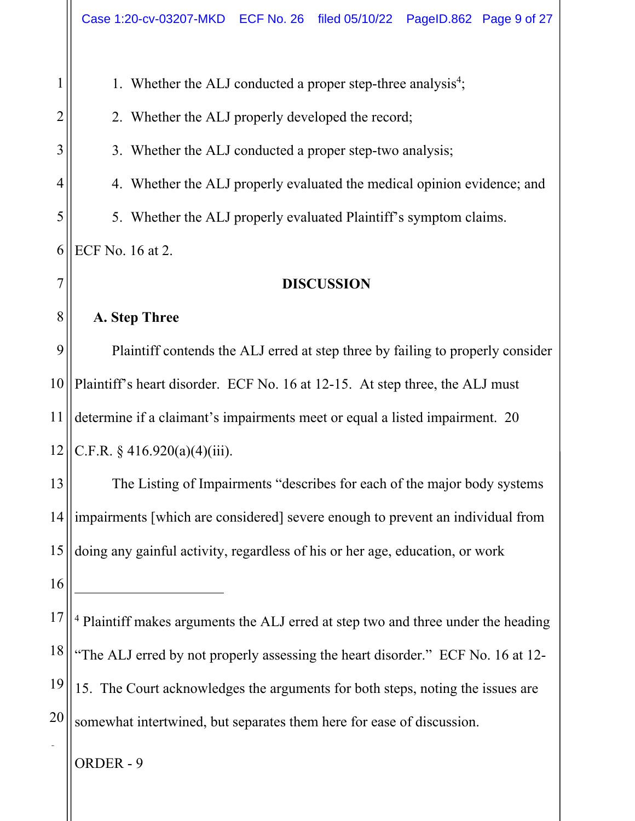ORDER - 9 1 2 3 4 5 6 7 8 9 10 11 12 13 14 15 16 17 18 19 20 2 1. Whether the ALJ conducted a proper step-three analysis<sup>4</sup>; 2. Whether the ALJ properly developed the record; 3. Whether the ALJ conducted a proper step-two analysis; 4. Whether the ALJ properly evaluated the medical opinion evidence; and 5. Whether the ALJ properly evaluated Plaintiff's symptom claims. ECF No. 16 at 2. **DISCUSSION A. Step Three**  Plaintiff contends the ALJ erred at step three by failing to properly consider Plaintiff's heart disorder. ECF No. 16 at 12-15. At step three, the ALJ must determine if a claimant's impairments meet or equal a listed impairment. 20 C.F.R.  $\frac{$416.920(a)(4)(iii)}{i}$ . The Listing of Impairments "describes for each of the major body systems impairments [which are considered] severe enough to prevent an individual from doing any gainful activity, regardless of his or her age, education, or work <sup>4</sup> Plaintiff makes arguments the ALJ erred at step two and three under the heading "The ALJ erred by not properly assessing the heart disorder." ECF No. 16 at 12-15. The Court acknowledges the arguments for both steps, noting the issues are somewhat intertwined, but separates them here for ease of discussion.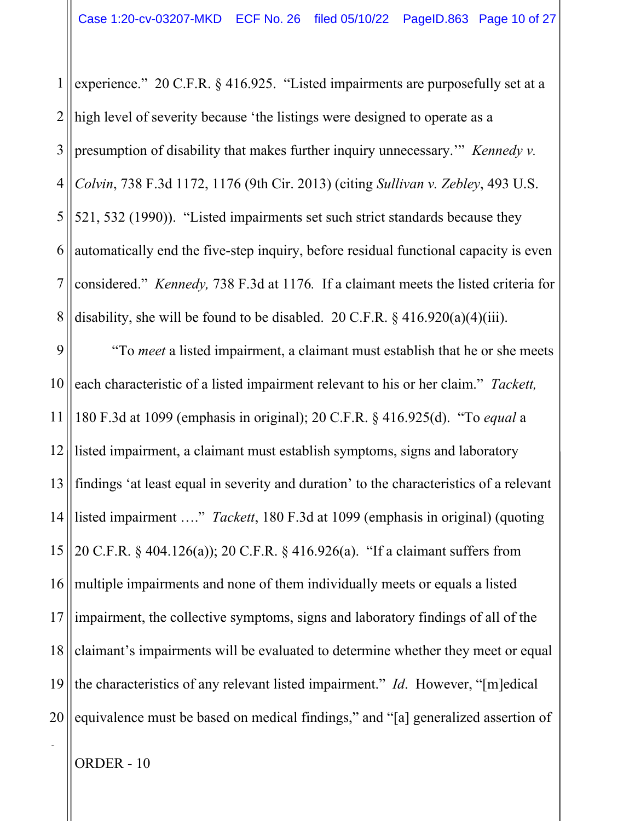1 2 3 4 5 6 7 8 9 10 11 experience." 20 C.F.R. § 416.925. "Listed impairments are purposefully set at a high level of severity because 'the listings were designed to operate as a presumption of disability that makes further inquiry unnecessary.'" *Kennedy v. Colvin*, 738 F.3d 1172, 1176 (9th Cir. 2013) (citing *Sullivan v. Zebley*, 493 U.S. 521, 532 (1990)). "Listed impairments set such strict standards because they automatically end the five-step inquiry, before residual functional capacity is even considered." *Kennedy,* 738 F.3d at 1176*.* If a claimant meets the listed criteria for disability, she will be found to be disabled. 20 C.F.R.  $\S$  416.920(a)(4)(iii). "To *meet* a listed impairment, a claimant must establish that he or she meets each characteristic of a listed impairment relevant to his or her claim." *Tackett,*  180 F.3d at 1099 (emphasis in original); 20 C.F.R. § 416.925(d). "To *equal* a

12 13 14 15 16 17 18 19 20 listed impairment, a claimant must establish symptoms, signs and laboratory findings 'at least equal in severity and duration' to the characteristics of a relevant listed impairment …." *Tackett*, 180 F.3d at 1099 (emphasis in original) (quoting 20 C.F.R. § 404.126(a)); 20 C.F.R. § 416.926(a). "If a claimant suffers from multiple impairments and none of them individually meets or equals a listed impairment, the collective symptoms, signs and laboratory findings of all of the claimant's impairments will be evaluated to determine whether they meet or equal the characteristics of any relevant listed impairment." *Id*. However, "[m]edical equivalence must be based on medical findings," and "[a] generalized assertion of

ORDER - 10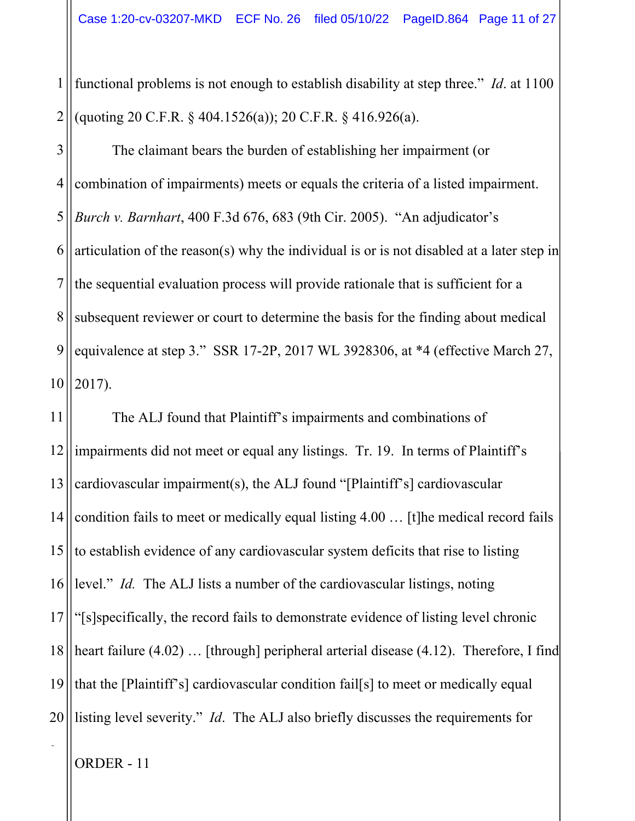1 2 functional problems is not enough to establish disability at step three." *Id*. at 1100 (quoting 20 C.F.R. § 404.1526(a)); 20 C.F.R. § 416.926(a).

3 4 5 6 7 8 9 10 The claimant bears the burden of establishing her impairment (or combination of impairments) meets or equals the criteria of a listed impairment. *Burch v. Barnhart*, 400 F.3d 676, 683 (9th Cir. 2005). "An adjudicator's articulation of the reason(s) why the individual is or is not disabled at a later step in the sequential evaluation process will provide rationale that is sufficient for a subsequent reviewer or court to determine the basis for the finding about medical equivalence at step 3." SSR 17-2P, 2017 WL 3928306, at \*4 (effective March 27, 2017).

11 12 13 14 15 16 17 18 19 20 The ALJ found that Plaintiff's impairments and combinations of impairments did not meet or equal any listings. Tr. 19. In terms of Plaintiff's cardiovascular impairment(s), the ALJ found "[Plaintiff's] cardiovascular condition fails to meet or medically equal listing 4.00 … [t]he medical record fails to establish evidence of any cardiovascular system deficits that rise to listing level." *Id.* The ALJ lists a number of the cardiovascular listings, noting "[s]specifically, the record fails to demonstrate evidence of listing level chronic heart failure (4.02) ... [through] peripheral arterial disease (4.12). Therefore, I find that the [Plaintiff's] cardiovascular condition fail[s] to meet or medically equal listing level severity." *Id*. The ALJ also briefly discusses the requirements for

ORDER - 11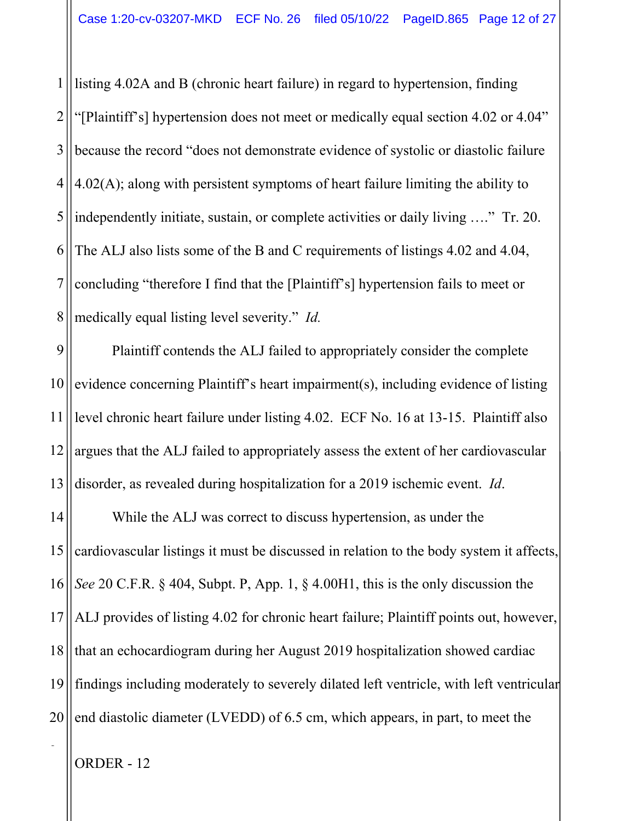1 2 3 4 5 6 7 8 listing 4.02A and B (chronic heart failure) in regard to hypertension, finding "[Plaintiff's] hypertension does not meet or medically equal section 4.02 or 4.04" because the record "does not demonstrate evidence of systolic or diastolic failure 4.02(A); along with persistent symptoms of heart failure limiting the ability to independently initiate, sustain, or complete activities or daily living …." Tr. 20. The ALJ also lists some of the B and C requirements of listings 4.02 and 4.04, concluding "therefore I find that the [Plaintiff's] hypertension fails to meet or medically equal listing level severity." *Id.*

9 10 11 12 13 Plaintiff contends the ALJ failed to appropriately consider the complete evidence concerning Plaintiff's heart impairment(s), including evidence of listing level chronic heart failure under listing 4.02. ECF No. 16 at 13-15. Plaintiff also argues that the ALJ failed to appropriately assess the extent of her cardiovascular disorder, as revealed during hospitalization for a 2019 ischemic event. *Id*.

14 15 16 17 18 19 20 While the ALJ was correct to discuss hypertension, as under the cardiovascular listings it must be discussed in relation to the body system it affects, *See* 20 C.F.R. § 404, Subpt. P, App. 1, § 4.00H1, this is the only discussion the ALJ provides of listing 4.02 for chronic heart failure; Plaintiff points out, however, that an echocardiogram during her August 2019 hospitalization showed cardiac findings including moderately to severely dilated left ventricle, with left ventricular end diastolic diameter (LVEDD) of 6.5 cm, which appears, in part, to meet the

ORDER - 12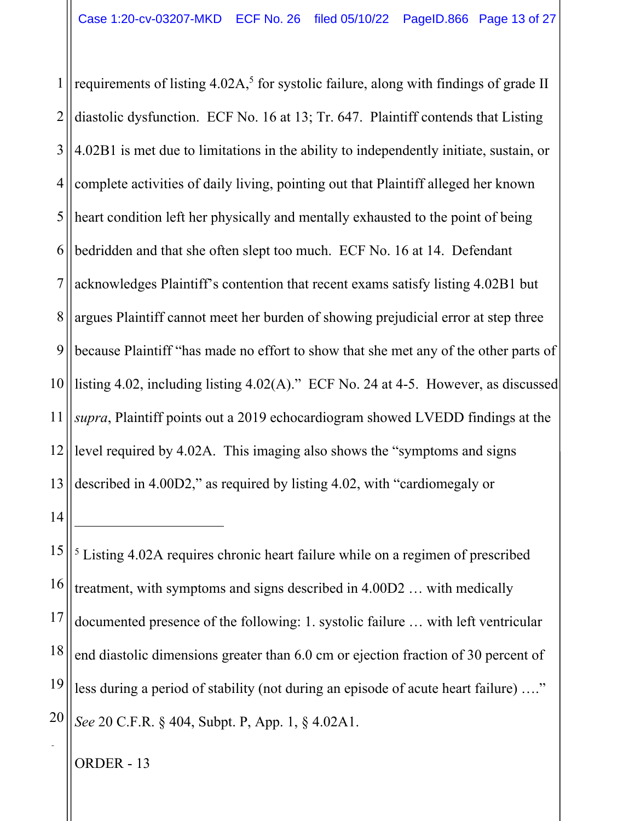1 2 3 4 5 6 7 8 9 10 11 12 13 requirements of listing  $4.02A$ ,<sup>5</sup> for systolic failure, along with findings of grade II diastolic dysfunction. ECF No. 16 at 13; Tr. 647. Plaintiff contends that Listing 4.02B1 is met due to limitations in the ability to independently initiate, sustain, or complete activities of daily living, pointing out that Plaintiff alleged her known heart condition left her physically and mentally exhausted to the point of being bedridden and that she often slept too much. ECF No. 16 at 14. Defendant acknowledges Plaintiff's contention that recent exams satisfy listing 4.02B1 but argues Plaintiff cannot meet her burden of showing prejudicial error at step three because Plaintiff "has made no effort to show that she met any of the other parts of listing 4.02, including listing 4.02(A)." ECF No. 24 at 4-5. However, as discussed *supra*, Plaintiff points out a 2019 echocardiogram showed LVEDD findings at the level required by 4.02A. This imaging also shows the "symptoms and signs described in 4.00D2," as required by listing 4.02, with "cardiomegaly or

14

2

15 16 17 18 19 20 <sup>5</sup> Listing 4.02A requires chronic heart failure while on a regimen of prescribed treatment, with symptoms and signs described in 4.00D2 … with medically documented presence of the following: 1. systolic failure … with left ventricular end diastolic dimensions greater than 6.0 cm or ejection fraction of 30 percent of less during a period of stability (not during an episode of acute heart failure) …." *See* 20 C.F.R. § 404, Subpt. P, App. 1, § 4.02A1.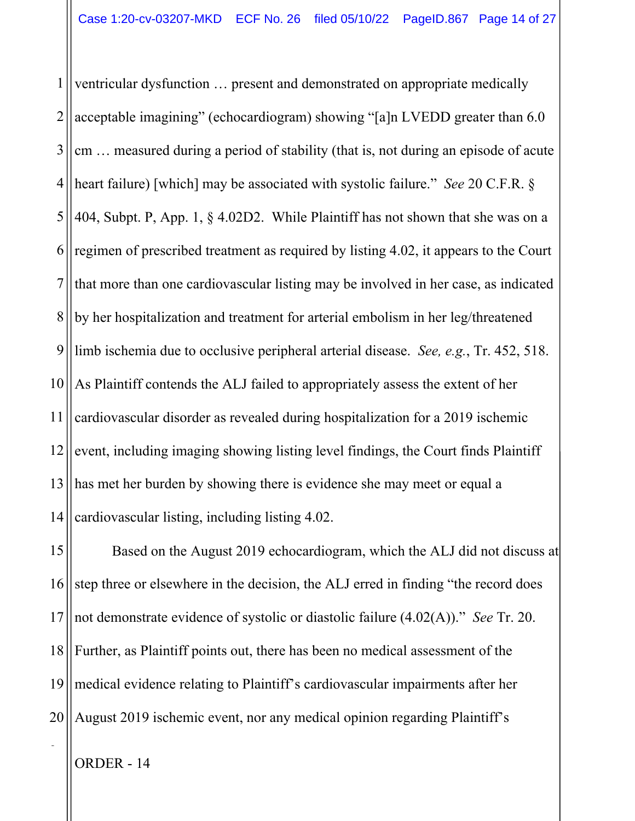1 2 3 4 5 6 7 8 9 10 11 12 13 14 ventricular dysfunction … present and demonstrated on appropriate medically acceptable imagining" (echocardiogram) showing "[a]n LVEDD greater than 6.0 cm … measured during a period of stability (that is, not during an episode of acute heart failure) [which] may be associated with systolic failure." *See* 20 C.F.R. § 404, Subpt. P, App. 1, § 4.02D2. While Plaintiff has not shown that she was on a regimen of prescribed treatment as required by listing 4.02, it appears to the Court that more than one cardiovascular listing may be involved in her case, as indicated by her hospitalization and treatment for arterial embolism in her leg/threatened limb ischemia due to occlusive peripheral arterial disease. *See, e.g.*, Tr. 452, 518. As Plaintiff contends the ALJ failed to appropriately assess the extent of her cardiovascular disorder as revealed during hospitalization for a 2019 ischemic event, including imaging showing listing level findings, the Court finds Plaintiff has met her burden by showing there is evidence she may meet or equal a cardiovascular listing, including listing 4.02.

15 16 17 18 19 20 Based on the August 2019 echocardiogram, which the ALJ did not discuss at step three or elsewhere in the decision, the ALJ erred in finding "the record does not demonstrate evidence of systolic or diastolic failure (4.02(A))." *See* Tr. 20. Further, as Plaintiff points out, there has been no medical assessment of the medical evidence relating to Plaintiff's cardiovascular impairments after her August 2019 ischemic event, nor any medical opinion regarding Plaintiff's

ORDER - 14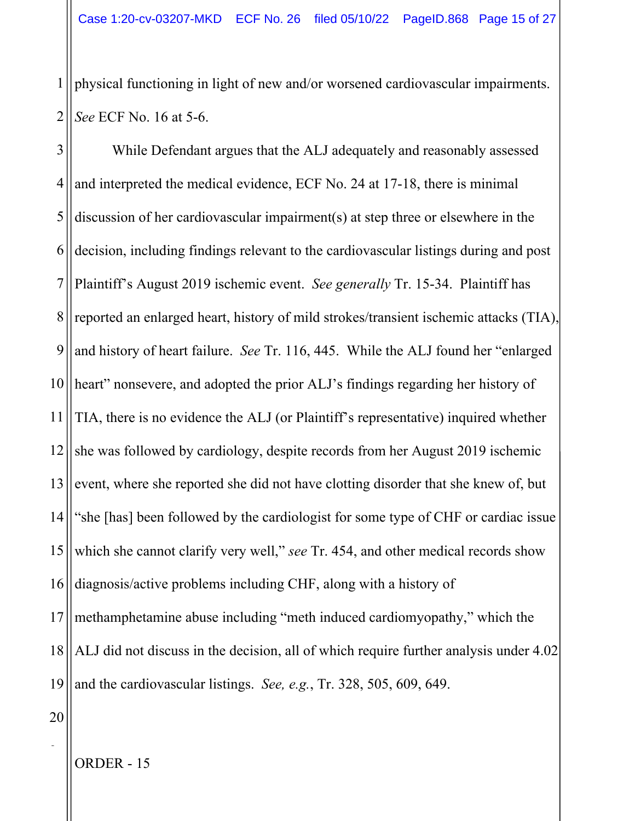1 2 physical functioning in light of new and/or worsened cardiovascular impairments. *See* ECF No. 16 at 5-6.

3 4 5 6 7 8 9 10 11 12 13 14 15 16 17 18 19 While Defendant argues that the ALJ adequately and reasonably assessed and interpreted the medical evidence, ECF No. 24 at 17-18, there is minimal discussion of her cardiovascular impairment(s) at step three or elsewhere in the decision, including findings relevant to the cardiovascular listings during and post Plaintiff's August 2019 ischemic event. *See generally* Tr. 15-34. Plaintiff has reported an enlarged heart, history of mild strokes/transient ischemic attacks (TIA), and history of heart failure. *See* Tr. 116, 445. While the ALJ found her "enlarged heart" nonsevere, and adopted the prior ALJ's findings regarding her history of TIA, there is no evidence the ALJ (or Plaintiff's representative) inquired whether she was followed by cardiology, despite records from her August 2019 ischemic event, where she reported she did not have clotting disorder that she knew of, but "she [has] been followed by the cardiologist for some type of CHF or cardiac issue which she cannot clarify very well," *see* Tr. 454, and other medical records show diagnosis/active problems including CHF, along with a history of methamphetamine abuse including "meth induced cardiomyopathy," which the ALJ did not discuss in the decision, all of which require further analysis under 4.02 and the cardiovascular listings. *See, e.g.*, Tr. 328, 505, 609, 649.

20

2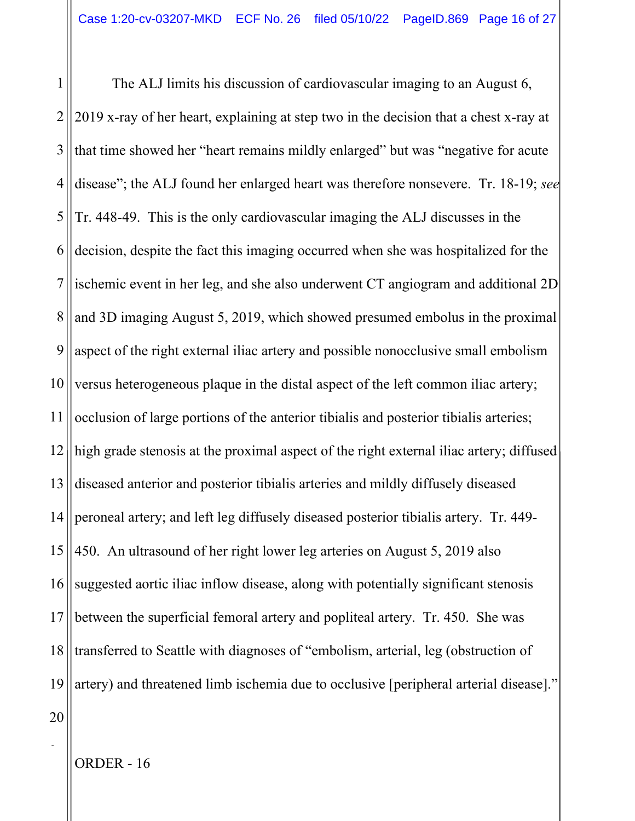1 2 3 4 5 6 7 8 9 10 11 12 13 14 15 16 17 18 19 The ALJ limits his discussion of cardiovascular imaging to an August 6, 2019 x-ray of her heart, explaining at step two in the decision that a chest x-ray at that time showed her "heart remains mildly enlarged" but was "negative for acute disease"; the ALJ found her enlarged heart was therefore nonsevere. Tr. 18-19; *see* Tr. 448-49. This is the only cardiovascular imaging the ALJ discusses in the decision, despite the fact this imaging occurred when she was hospitalized for the ischemic event in her leg, and she also underwent CT angiogram and additional 2D and 3D imaging August 5, 2019, which showed presumed embolus in the proximal aspect of the right external iliac artery and possible nonocclusive small embolism versus heterogeneous plaque in the distal aspect of the left common iliac artery; occlusion of large portions of the anterior tibialis and posterior tibialis arteries; high grade stenosis at the proximal aspect of the right external iliac artery; diffused diseased anterior and posterior tibialis arteries and mildly diffusely diseased peroneal artery; and left leg diffusely diseased posterior tibialis artery. Tr. 449- 450. An ultrasound of her right lower leg arteries on August 5, 2019 also suggested aortic iliac inflow disease, along with potentially significant stenosis between the superficial femoral artery and popliteal artery. Tr. 450.She was transferred to Seattle with diagnoses of "embolism, arterial, leg (obstruction of artery) and threatened limb ischemia due to occlusive [peripheral arterial disease]."

ORDER - 16

20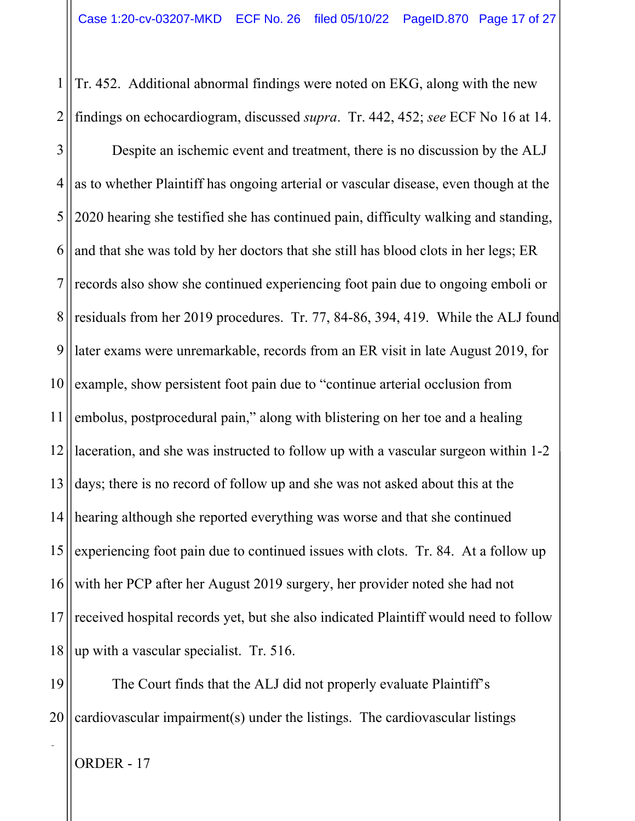1 2 Tr. 452. Additional abnormal findings were noted on EKG, along with the new findings on echocardiogram, discussed *supra*. Tr. 442, 452; *see* ECF No 16 at 14.

3 4 5 6 7 8 9 10 11 12 13 14 15 16 17 18 Despite an ischemic event and treatment, there is no discussion by the ALJ as to whether Plaintiff has ongoing arterial or vascular disease, even though at the 2020 hearing she testified she has continued pain, difficulty walking and standing, and that she was told by her doctors that she still has blood clots in her legs; ER records also show she continued experiencing foot pain due to ongoing emboli or residuals from her 2019 procedures. Tr. 77, 84-86, 394, 419. While the ALJ found later exams were unremarkable, records from an ER visit in late August 2019, for example, show persistent foot pain due to "continue arterial occlusion from embolus, postprocedural pain," along with blistering on her toe and a healing laceration, and she was instructed to follow up with a vascular surgeon within 1-2 days; there is no record of follow up and she was not asked about this at the hearing although she reported everything was worse and that she continued experiencing foot pain due to continued issues with clots. Tr. 84. At a follow up with her PCP after her August 2019 surgery, her provider noted she had not received hospital records yet, but she also indicated Plaintiff would need to follow up with a vascular specialist. Tr. 516.

19 20 The Court finds that the ALJ did not properly evaluate Plaintiff's cardiovascular impairment(s) under the listings. The cardiovascular listings

ORDER - 17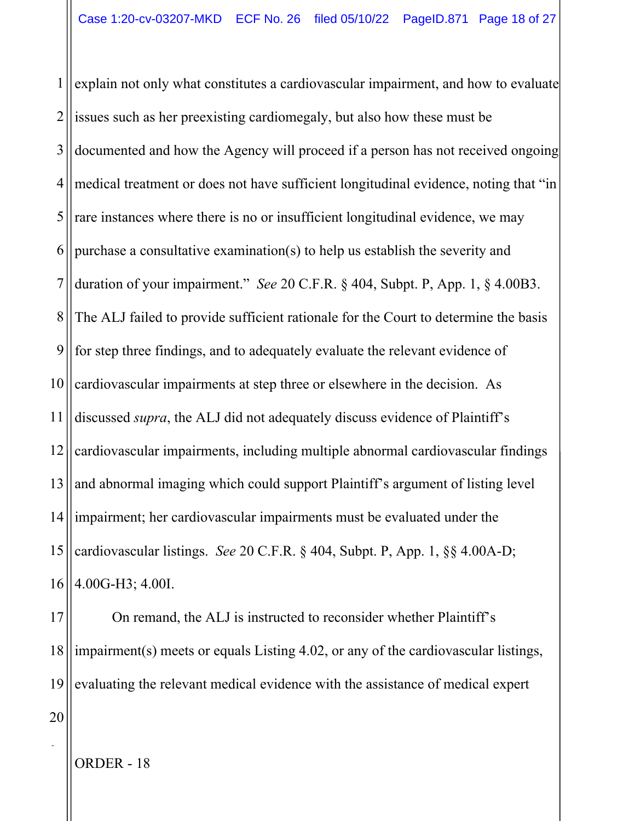1 2 3 4 5 6 7 8 9 10 11 12 13 14 15 16 explain not only what constitutes a cardiovascular impairment, and how to evaluate issues such as her preexisting cardiomegaly, but also how these must be documented and how the Agency will proceed if a person has not received ongoing medical treatment or does not have sufficient longitudinal evidence, noting that "in rare instances where there is no or insufficient longitudinal evidence, we may purchase a consultative examination(s) to help us establish the severity and duration of your impairment." *See* 20 C.F.R. § 404, Subpt. P, App. 1, § 4.00B3. The ALJ failed to provide sufficient rationale for the Court to determine the basis for step three findings, and to adequately evaluate the relevant evidence of cardiovascular impairments at step three or elsewhere in the decision. As discussed *supra*, the ALJ did not adequately discuss evidence of Plaintiff's cardiovascular impairments, including multiple abnormal cardiovascular findings and abnormal imaging which could support Plaintiff's argument of listing level impairment; her cardiovascular impairments must be evaluated under the cardiovascular listings. *See* 20 C.F.R. § 404, Subpt. P, App. 1, §§ 4.00A-D; 4.00G-H3; 4.00I.

17 18 19 20 On remand, the ALJ is instructed to reconsider whether Plaintiff's impairment(s) meets or equals Listing 4.02, or any of the cardiovascular listings, evaluating the relevant medical evidence with the assistance of medical expert

ORDER - 18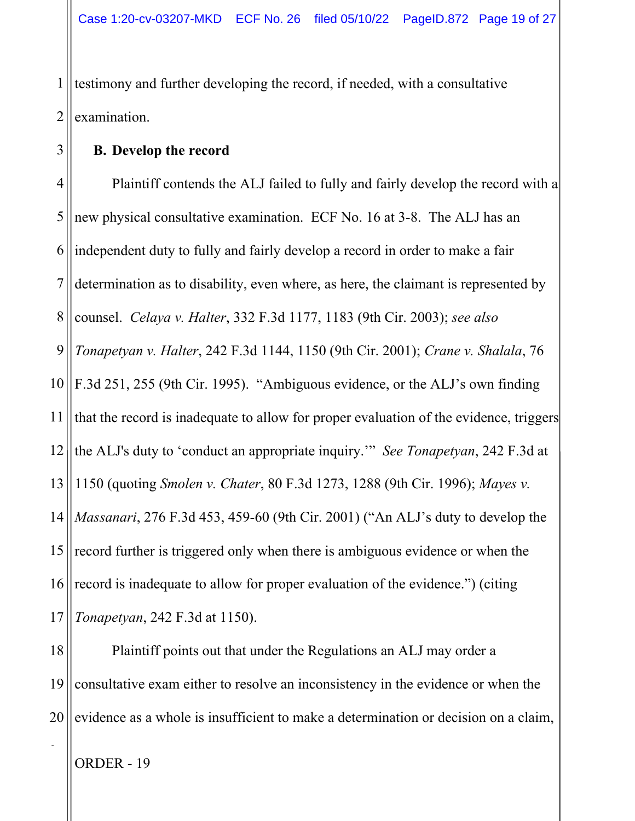1 2 testimony and further developing the record, if needed, with a consultative examination.

## **B. Develop the record**

3

4 5 6 7 8 9 10 11 12 13 14 15 16 17 Plaintiff contends the ALJ failed to fully and fairly develop the record with a new physical consultative examination. ECF No. 16 at 3-8. The ALJ has an independent duty to fully and fairly develop a record in order to make a fair determination as to disability, even where, as here, the claimant is represented by counsel. *Celaya v. Halter*, 332 F.3d 1177, 1183 (9th Cir. 2003); *see also Tonapetyan v. Halter*, 242 F.3d 1144, 1150 (9th Cir. 2001); *Crane v. Shalala*, 76 F.3d 251, 255 (9th Cir. 1995). "Ambiguous evidence, or the ALJ's own finding that the record is inadequate to allow for proper evaluation of the evidence, triggers the ALJ's duty to 'conduct an appropriate inquiry.'" *See Tonapetyan*, 242 F.3d at 1150 (quoting *Smolen v. Chater*, 80 F.3d 1273, 1288 (9th Cir. 1996); *Mayes v. Massanari*, 276 F.3d 453, 459-60 (9th Cir. 2001) ("An ALJ's duty to develop the record further is triggered only when there is ambiguous evidence or when the record is inadequate to allow for proper evaluation of the evidence.") (citing *Tonapetyan*, 242 F.3d at 1150).

18 19 20 Plaintiff points out that under the Regulations an ALJ may order a consultative exam either to resolve an inconsistency in the evidence or when the evidence as a whole is insufficient to make a determination or decision on a claim,

ORDER - 19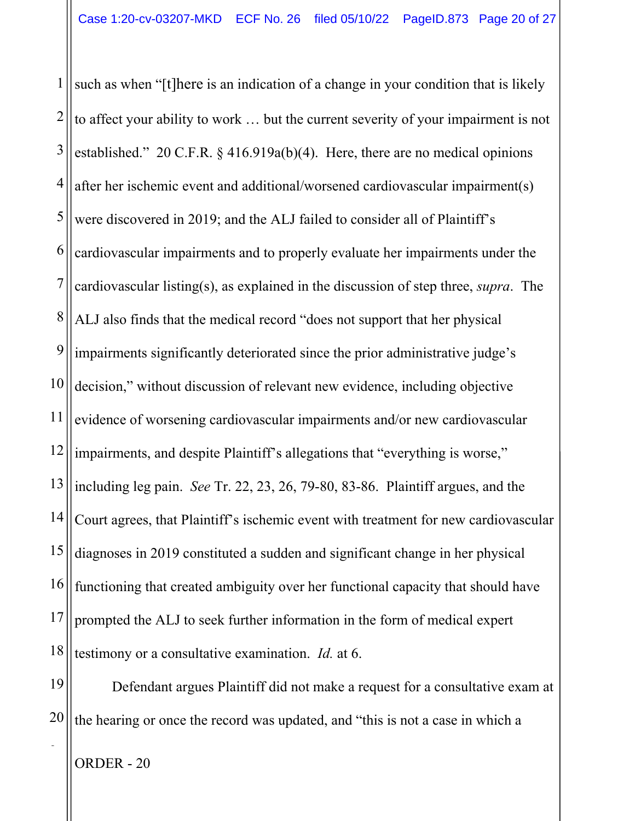1 2 3 4 5 6 7 8 9 10 11 12 13 14 15 16 17 18 such as when "[t]here is an indication of a change in your condition that is likely to affect your ability to work … but the current severity of your impairment is not established." 20 C.F.R. § 416.919a(b)(4). Here, there are no medical opinions after her ischemic event and additional/worsened cardiovascular impairment(s) were discovered in 2019; and the ALJ failed to consider all of Plaintiff's cardiovascular impairments and to properly evaluate her impairments under the cardiovascular listing(s), as explained in the discussion of step three, *supra*. The ALJ also finds that the medical record "does not support that her physical impairments significantly deteriorated since the prior administrative judge's decision," without discussion of relevant new evidence, including objective evidence of worsening cardiovascular impairments and/or new cardiovascular impairments, and despite Plaintiff's allegations that "everything is worse," including leg pain. *See* Tr. 22, 23, 26, 79-80, 83-86. Plaintiff argues, and the Court agrees, that Plaintiff's ischemic event with treatment for new cardiovascular diagnoses in 2019 constituted a sudden and significant change in her physical functioning that created ambiguity over her functional capacity that should have prompted the ALJ to seek further information in the form of medical expert testimony or a consultative examination. *Id.* at 6.

19 20 Defendant argues Plaintiff did not make a request for a consultative exam at the hearing or once the record was updated, and "this is not a case in which a

ORDER - 20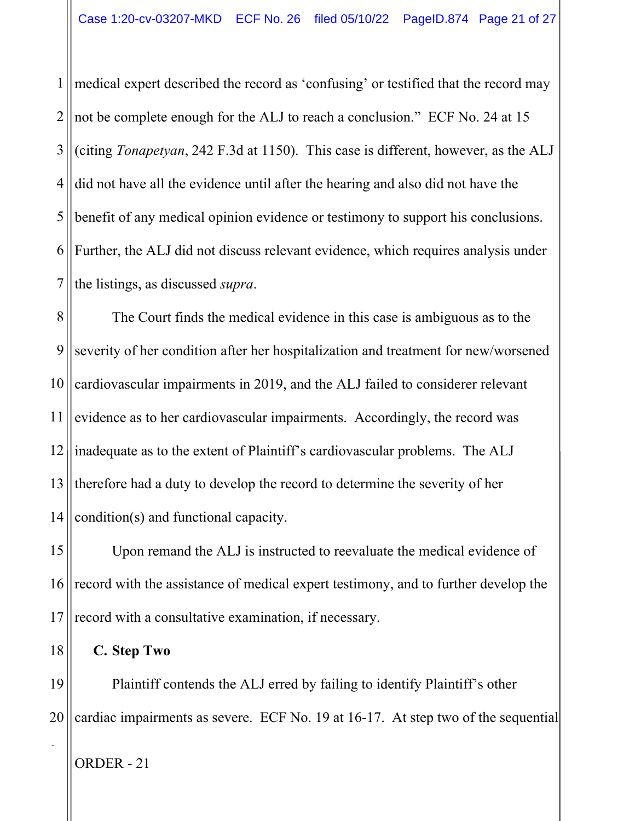1 2 3 4 5 6 7 medical expert described the record as 'confusing' or testified that the record may not be complete enough for the ALJ to reach a conclusion." ECF No. 24 at 15 (citing *Tonapetyan*, 242 F.3d at 1150). This case is different, however, as the ALJ did not have all the evidence until after the hearing and also did not have the benefit of any medical opinion evidence or testimony to support his conclusions. Further, the ALJ did not discuss relevant evidence, which requires analysis under the listings, as discussed *supra*.

8 9 10 11 12 13 14 The Court finds the medical evidence in this case is ambiguous as to the severity of her condition after her hospitalization and treatment for new/worsened cardiovascular impairments in 2019, and the ALJ failed to considerer relevant evidence as to her cardiovascular impairments. Accordingly, the record was inadequate as to the extent of Plaintiff's cardiovascular problems. The ALJ therefore had a duty to develop the record to determine the severity of her condition(s) and functional capacity.

15 16 17 Upon remand the ALJ is instructed to reevaluate the medical evidence of record with the assistance of medical expert testimony, and to further develop the record with a consultative examination, if necessary.

18 **C. Step Two** 

19 20 Plaintiff contends the ALJ erred by failing to identify Plaintiff's other cardiac impairments as severe. ECF No. 19 at 16-17. At step two of the sequential

ORDER - 21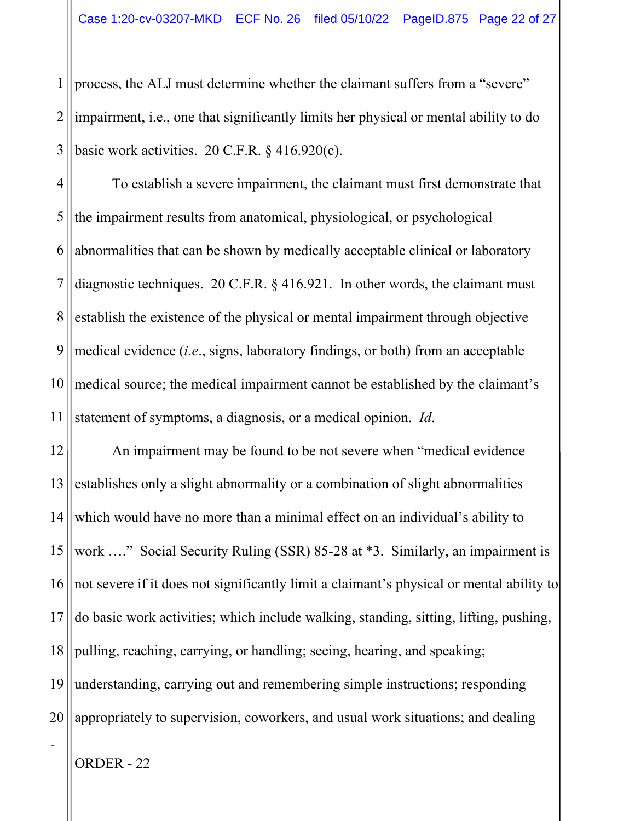1 2 3 process, the ALJ must determine whether the claimant suffers from a "severe" impairment, i.e., one that significantly limits her physical or mental ability to do basic work activities. 20 C.F.R. § 416.920(c).

4 5 6 7 8 9 10 11 To establish a severe impairment, the claimant must first demonstrate that the impairment results from anatomical, physiological, or psychological abnormalities that can be shown by medically acceptable clinical or laboratory diagnostic techniques. 20 C.F.R. § 416.921. In other words, the claimant must establish the existence of the physical or mental impairment through objective medical evidence (*i.e*., signs, laboratory findings, or both) from an acceptable medical source; the medical impairment cannot be established by the claimant's statement of symptoms, a diagnosis, or a medical opinion. *Id*.

12 13 14 15 16 17 18 19 20 An impairment may be found to be not severe when "medical evidence establishes only a slight abnormality or a combination of slight abnormalities which would have no more than a minimal effect on an individual's ability to work ...." Social Security Ruling (SSR) 85-28 at \*3. Similarly, an impairment is not severe if it does not significantly limit a claimant's physical or mental ability to do basic work activities; which include walking, standing, sitting, lifting, pushing, pulling, reaching, carrying, or handling; seeing, hearing, and speaking; understanding, carrying out and remembering simple instructions; responding appropriately to supervision, coworkers, and usual work situations; and dealing

ORDER - 22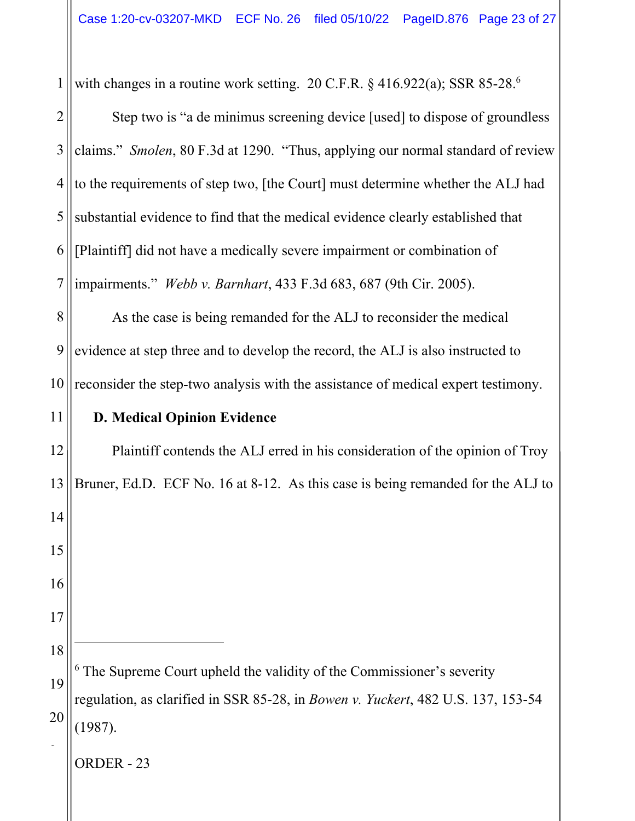1 with changes in a routine work setting. 20 C.F.R.  $\S$  416.922(a); SSR 85-28.<sup>6</sup>

2 3 4 5 6 7 Step two is "a de minimus screening device [used] to dispose of groundless claims." *Smolen*, 80 F.3d at 1290. "Thus, applying our normal standard of review to the requirements of step two, [the Court] must determine whether the ALJ had substantial evidence to find that the medical evidence clearly established that [Plaintiff] did not have a medically severe impairment or combination of impairments." *Webb v. Barnhart*, 433 F.3d 683, 687 (9th Cir. 2005).

8 9 10 As the case is being remanded for the ALJ to reconsider the medical evidence at step three and to develop the record, the ALJ is also instructed to reconsider the step-two analysis with the assistance of medical expert testimony.

# **D. Medical Opinion Evidence**

11

ORDER - 23 12 13 14 15 16 17 18 19 20 2 Plaintiff contends the ALJ erred in his consideration of the opinion of Troy Bruner, Ed.D. ECF No. 16 at 8-12. As this case is being remanded for the ALJ to <sup>6</sup> The Supreme Court upheld the validity of the Commissioner's severity regulation, as clarified in SSR 85-28, in *Bowen v. Yuckert*, 482 U.S. 137, 153-54 (1987).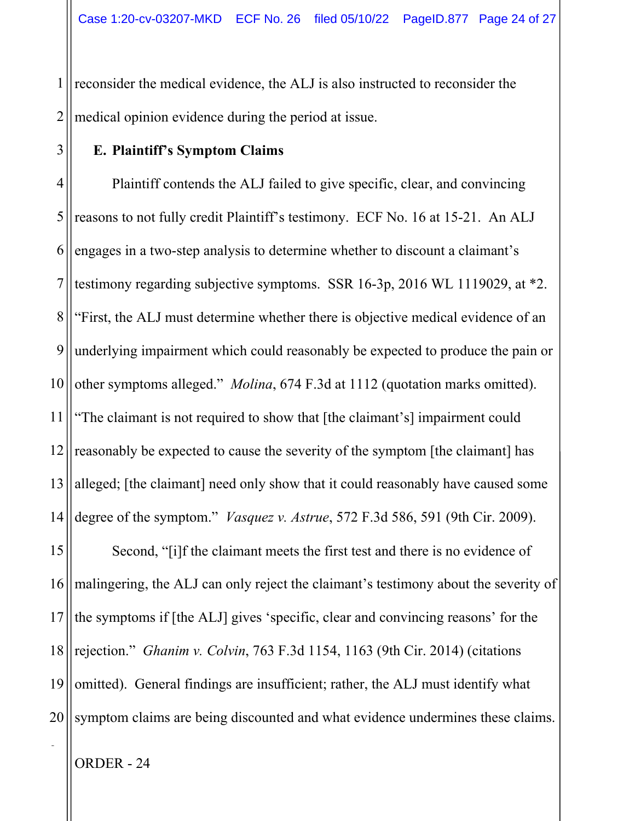1 2 reconsider the medical evidence, the ALJ is also instructed to reconsider the medical opinion evidence during the period at issue.

### **E. Plaintiff's Symptom Claims**

3

4 5 6 7 8 9 10 11 12 13 14 15 16 17 18 19 20 Plaintiff contends the ALJ failed to give specific, clear, and convincing reasons to not fully credit Plaintiff's testimony. ECF No. 16 at 15-21. An ALJ engages in a two-step analysis to determine whether to discount a claimant's testimony regarding subjective symptoms. SSR 16-3p, 2016 WL 1119029, at \*2. "First, the ALJ must determine whether there is objective medical evidence of an underlying impairment which could reasonably be expected to produce the pain or other symptoms alleged." *Molina*, 674 F.3d at 1112 (quotation marks omitted). "The claimant is not required to show that [the claimant's] impairment could reasonably be expected to cause the severity of the symptom [the claimant] has alleged; [the claimant] need only show that it could reasonably have caused some degree of the symptom." *Vasquez v. Astrue*, 572 F.3d 586, 591 (9th Cir. 2009). Second, "[i]f the claimant meets the first test and there is no evidence of malingering, the ALJ can only reject the claimant's testimony about the severity of the symptoms if [the ALJ] gives 'specific, clear and convincing reasons' for the rejection." *Ghanim v. Colvin*, 763 F.3d 1154, 1163 (9th Cir. 2014) (citations omitted). General findings are insufficient; rather, the ALJ must identify what symptom claims are being discounted and what evidence undermines these claims.

ORDER - 24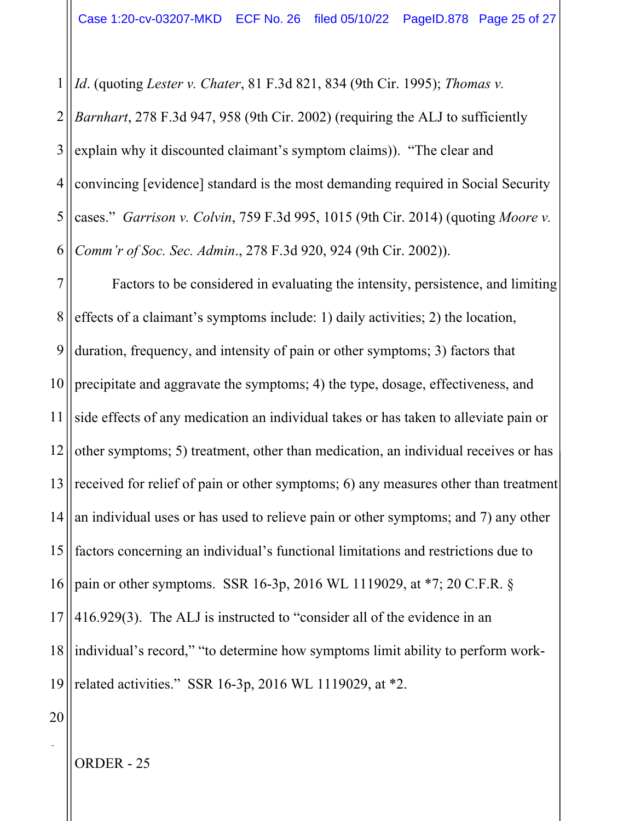1 *Id*. (quoting *Lester v. Chater*, 81 F.3d 821, 834 (9th Cir. 1995); *Thomas v.* 

2 3 4 5 6 *Barnhart*, 278 F.3d 947, 958 (9th Cir. 2002) (requiring the ALJ to sufficiently explain why it discounted claimant's symptom claims)). "The clear and convincing [evidence] standard is the most demanding required in Social Security cases." *Garrison v. Colvin*, 759 F.3d 995, 1015 (9th Cir. 2014) (quoting *Moore v. Comm'r of Soc. Sec. Admin*., 278 F.3d 920, 924 (9th Cir. 2002)).

7 8 9 10 11 12 13 14 15 16 17 18 19 Factors to be considered in evaluating the intensity, persistence, and limiting effects of a claimant's symptoms include: 1) daily activities; 2) the location, duration, frequency, and intensity of pain or other symptoms; 3) factors that precipitate and aggravate the symptoms; 4) the type, dosage, effectiveness, and side effects of any medication an individual takes or has taken to alleviate pain or other symptoms; 5) treatment, other than medication, an individual receives or has received for relief of pain or other symptoms; 6) any measures other than treatment an individual uses or has used to relieve pain or other symptoms; and 7) any other factors concerning an individual's functional limitations and restrictions due to pain or other symptoms. SSR 16-3p, 2016 WL 1119029, at \*7; 20 C.F.R. § 416.929(3). The ALJ is instructed to "consider all of the evidence in an individual's record," "to determine how symptoms limit ability to perform workrelated activities." SSR 16-3p, 2016 WL 1119029, at \*2.

20

2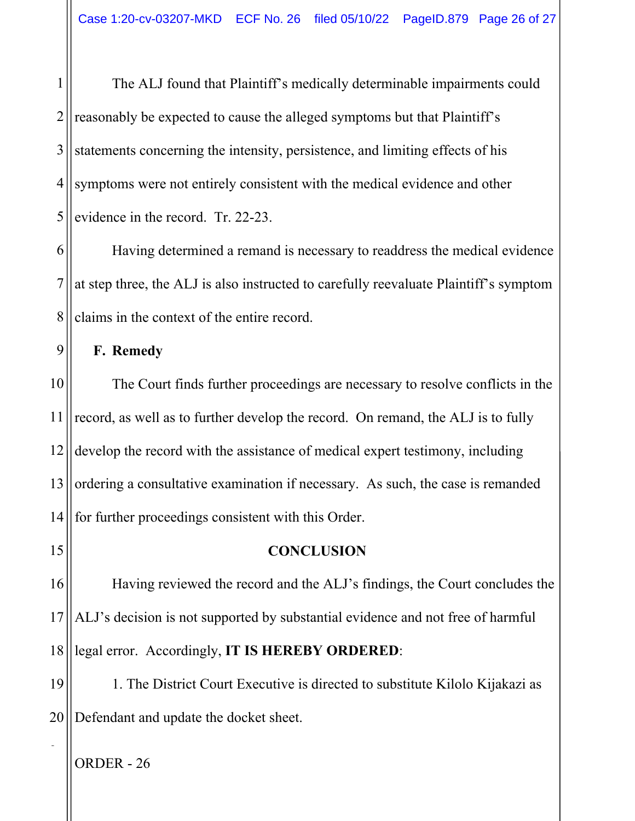1 2 3 4 5 The ALJ found that Plaintiff's medically determinable impairments could reasonably be expected to cause the alleged symptoms but that Plaintiff's statements concerning the intensity, persistence, and limiting effects of his symptoms were not entirely consistent with the medical evidence and other evidence in the record. Tr. 22-23.

6 7 8 Having determined a remand is necessary to readdress the medical evidence at step three, the ALJ is also instructed to carefully reevaluate Plaintiff's symptom claims in the context of the entire record.

**F. Remedy** 

9

10 11 12 13 14 The Court finds further proceedings are necessary to resolve conflicts in the record, as well as to further develop the record. On remand, the ALJ is to fully develop the record with the assistance of medical expert testimony, including ordering a consultative examination if necessary. As such, the case is remanded for further proceedings consistent with this Order.

15 16 17 18 **CONCLUSION**  Having reviewed the record and the ALJ's findings, the Court concludes the ALJ's decision is not supported by substantial evidence and not free of harmful legal error. Accordingly, **IT IS HEREBY ORDERED**:

19 20 1. The District Court Executive is directed to substitute Kilolo Kijakazi as Defendant and update the docket sheet.

ORDER - 26